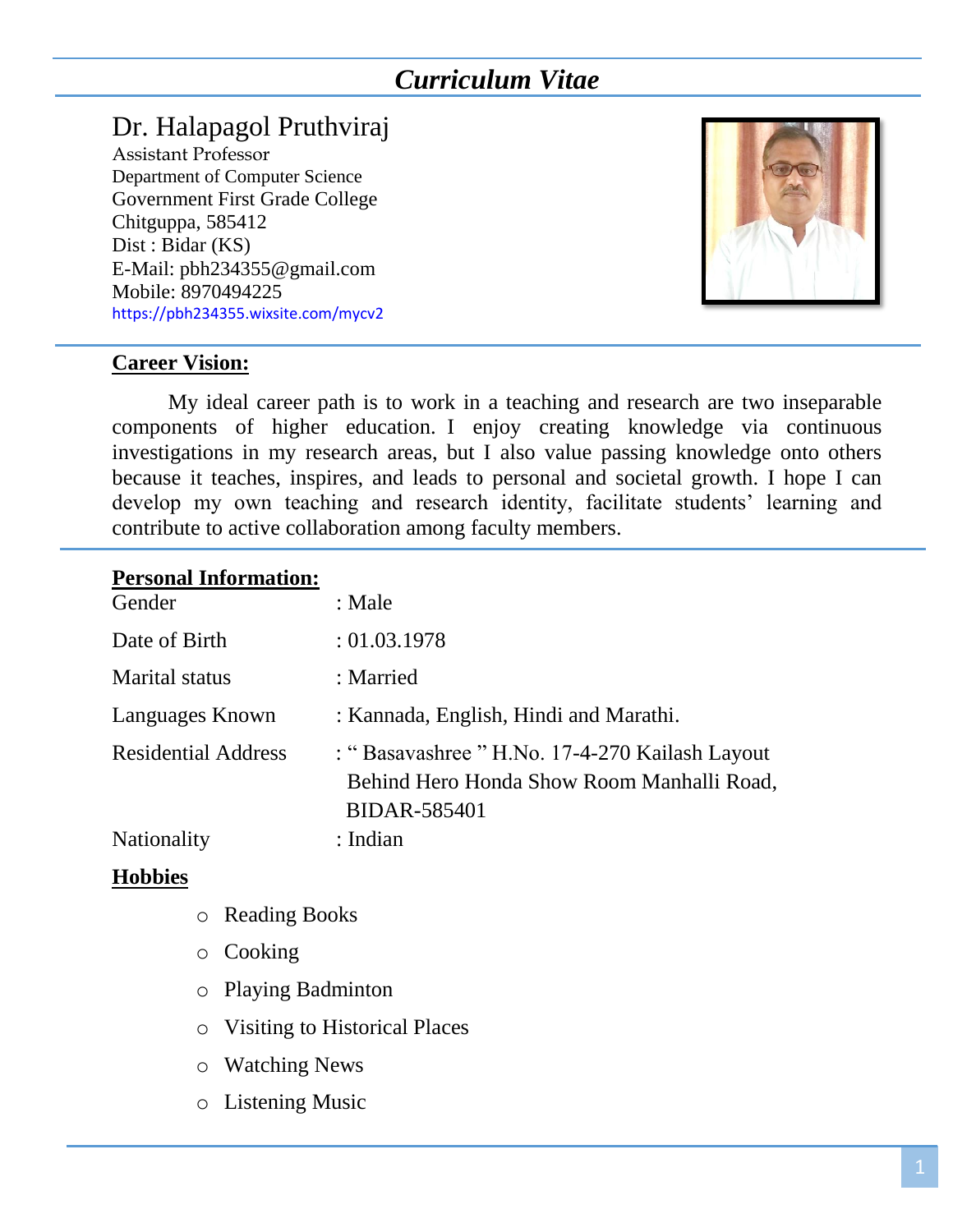# *Curriculum Vitae*

# Dr. Halapagol Pruthviraj

Assistant Professor Department of Computer Science Government First Grade College Chitguppa, 585412 Dist : Bidar (KS) E-Mail: pbh234355@gmail.com Mobile: 8970494225 https://pbh234355.wixsite.com/mycv2



#### **Career Vision:**

My ideal career path is to work in a teaching and research are two inseparable components of higher education. I enjoy creating knowledge via continuous investigations in my research areas, but I also value passing knowledge onto others because it teaches, inspires, and leads to personal and societal growth. I hope I can develop my own teaching and research identity, facilitate students' learning and contribute to active collaboration among faculty members.

#### **Personal Information:**

| Gender                     | : Male                                                                                                              |
|----------------------------|---------------------------------------------------------------------------------------------------------------------|
| Date of Birth              | : 01.03.1978                                                                                                        |
| <b>Marital</b> status      | : Married                                                                                                           |
| Languages Known            | : Kannada, English, Hindi and Marathi.                                                                              |
| <b>Residential Address</b> | : "Basavashree " H.No. 17-4-270 Kailash Layout<br>Behind Hero Honda Show Room Manhalli Road,<br><b>BIDAR-585401</b> |
| <b>Nationality</b>         | : Indian                                                                                                            |

#### **Hobbies**

- o Reading Books
- o Cooking
- o Playing Badminton
- o Visiting to Historical Places
- o Watching News
- o Listening Music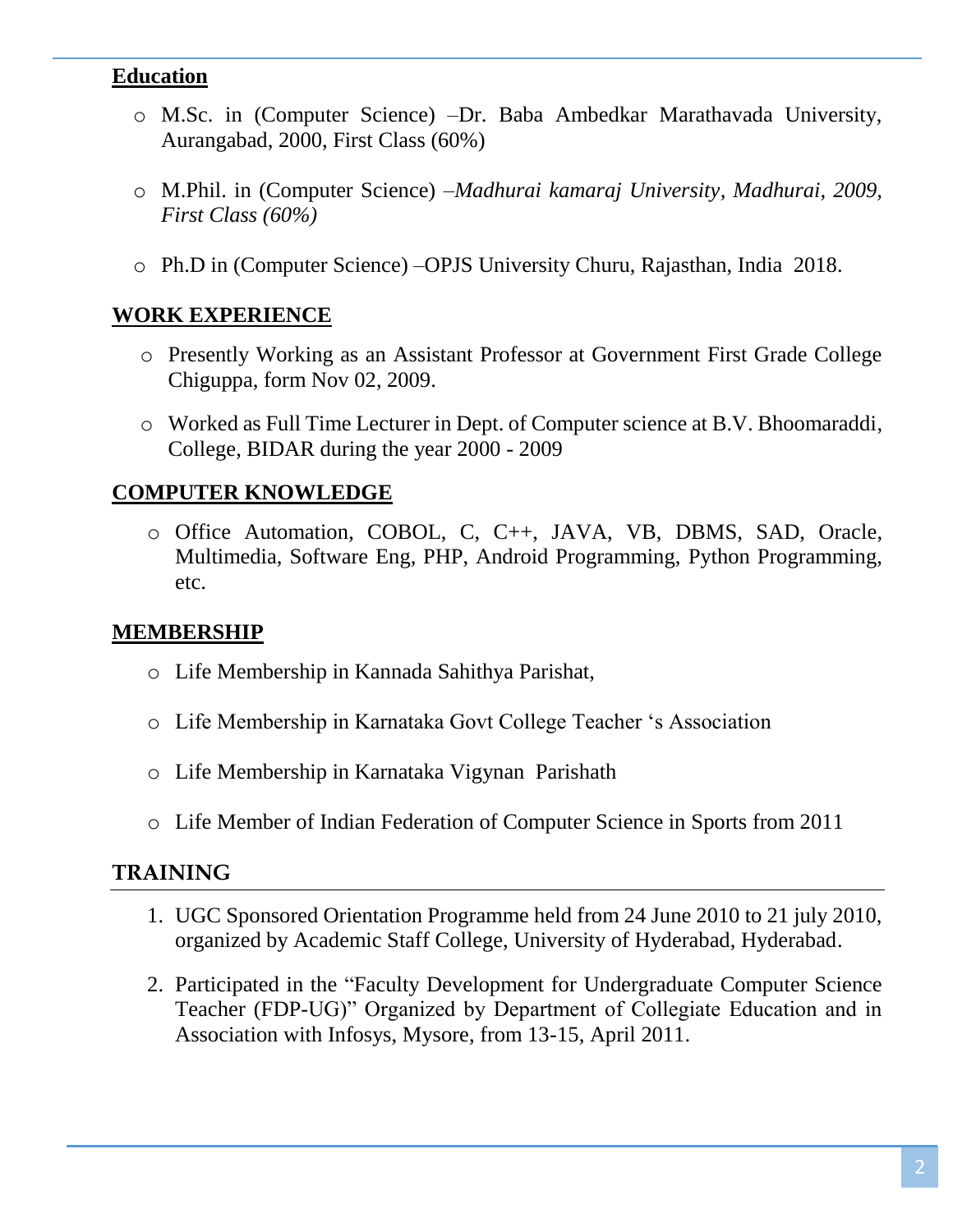## **Education**

- o M.Sc. in (Computer Science) –Dr. Baba Ambedkar Marathavada University, Aurangabad, 2000, First Class (60%)
- o M.Phil. in (Computer Science) –*Madhurai kamaraj University, Madhurai, 2009, First Class (60%)*
- o Ph.D in (Computer Science) –OPJS University Churu, Rajasthan, India 2018.

## **WORK EXPERIENCE**

- o Presently Working as an Assistant Professor at Government First Grade College Chiguppa, form Nov 02, 2009.
- o Worked as Full Time Lecturer in Dept. of Computer science at B.V. Bhoomaraddi, College, BIDAR during the year 2000 - 2009

## **COMPUTER KNOWLEDGE**

o Office Automation, COBOL, C, C++, JAVA, VB, DBMS, SAD, Oracle, Multimedia, Software Eng, PHP, Android Programming, Python Programming, etc.

#### **MEMBERSHIP**

- o Life Membership in Kannada Sahithya Parishat,
- o Life Membership in Karnataka Govt College Teacher 's Association
- o Life Membership in Karnataka Vigynan Parishath
- o Life Member of Indian Federation of Computer Science in Sports from 2011

#### **TRAINING**

- 1. UGC Sponsored Orientation Programme held from 24 June 2010 to 21 july 2010, organized by Academic Staff College, University of Hyderabad, Hyderabad.
- 2. Participated in the "Faculty Development for Undergraduate Computer Science Teacher (FDP-UG)" Organized by Department of Collegiate Education and in Association with Infosys, Mysore, from 13-15, April 2011.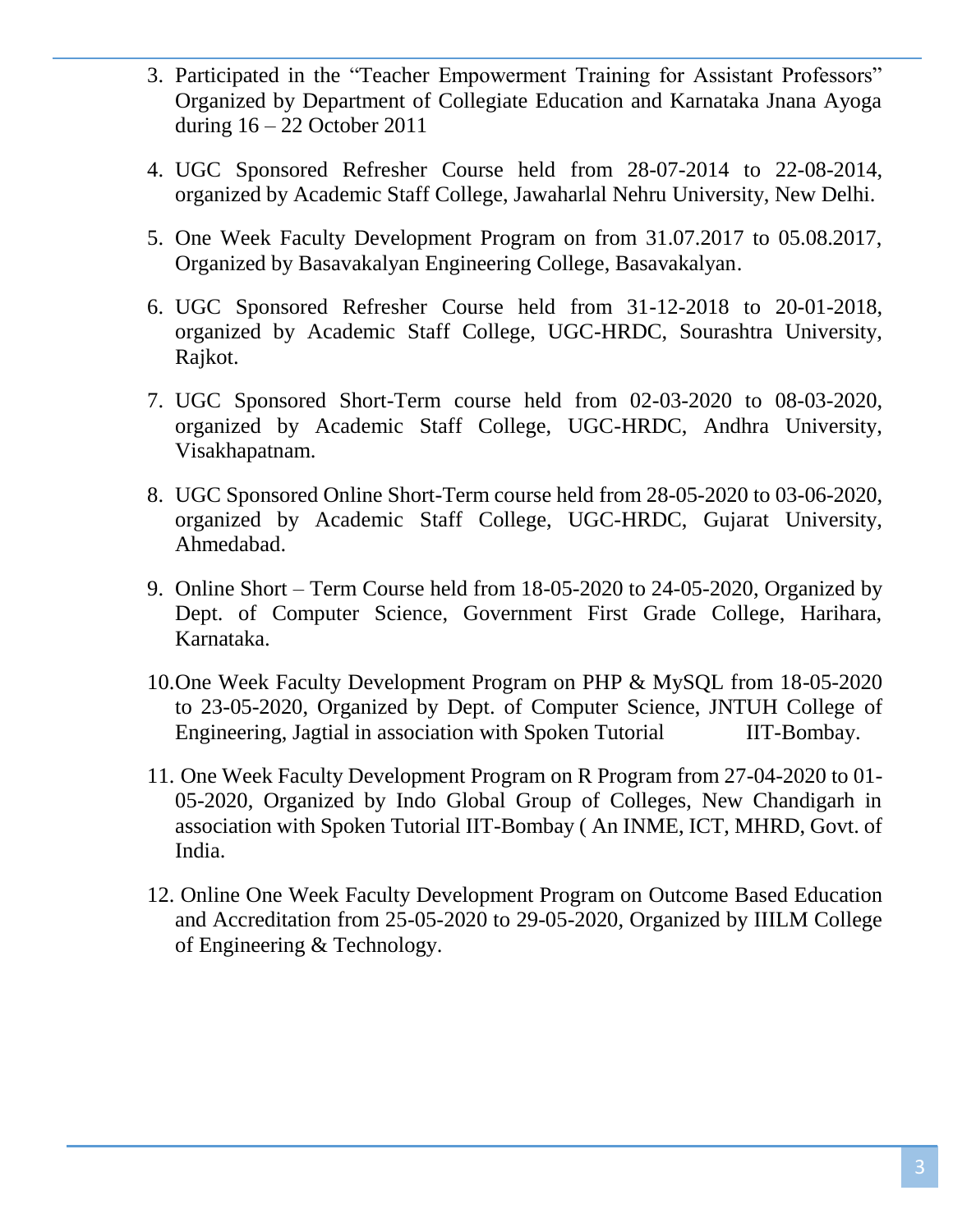- 3. Participated in the "Teacher Empowerment Training for Assistant Professors" Organized by Department of Collegiate Education and Karnataka Jnana Ayoga during 16 – 22 October 2011
- 4. UGC Sponsored Refresher Course held from 28-07-2014 to 22-08-2014, organized by Academic Staff College, Jawaharlal Nehru University, New Delhi.
- 5. One Week Faculty Development Program on from 31.07.2017 to 05.08.2017, Organized by Basavakalyan Engineering College, Basavakalyan.
- 6. UGC Sponsored Refresher Course held from 31-12-2018 to 20-01-2018, organized by Academic Staff College, UGC-HRDC, Sourashtra University, Rajkot.
- 7. UGC Sponsored Short-Term course held from 02-03-2020 to 08-03-2020, organized by Academic Staff College, UGC-HRDC, Andhra University, Visakhapatnam.
- 8. UGC Sponsored Online Short-Term course held from 28-05-2020 to 03-06-2020, organized by Academic Staff College, UGC-HRDC, Gujarat University, Ahmedabad.
- 9. Online Short Term Course held from 18-05-2020 to 24-05-2020, Organized by Dept. of Computer Science, Government First Grade College, Harihara, Karnataka.
- 10.One Week Faculty Development Program on PHP & MySQL from 18-05-2020 to 23-05-2020, Organized by Dept. of Computer Science, JNTUH College of Engineering, Jagtial in association with Spoken Tutorial IIT-Bombay.
- 11. One Week Faculty Development Program on R Program from 27-04-2020 to 01- 05-2020, Organized by Indo Global Group of Colleges, New Chandigarh in association with Spoken Tutorial IIT-Bombay ( An INME, ICT, MHRD, Govt. of India.
- 12. Online One Week Faculty Development Program on Outcome Based Education and Accreditation from 25-05-2020 to 29-05-2020, Organized by IIILM College of Engineering & Technology.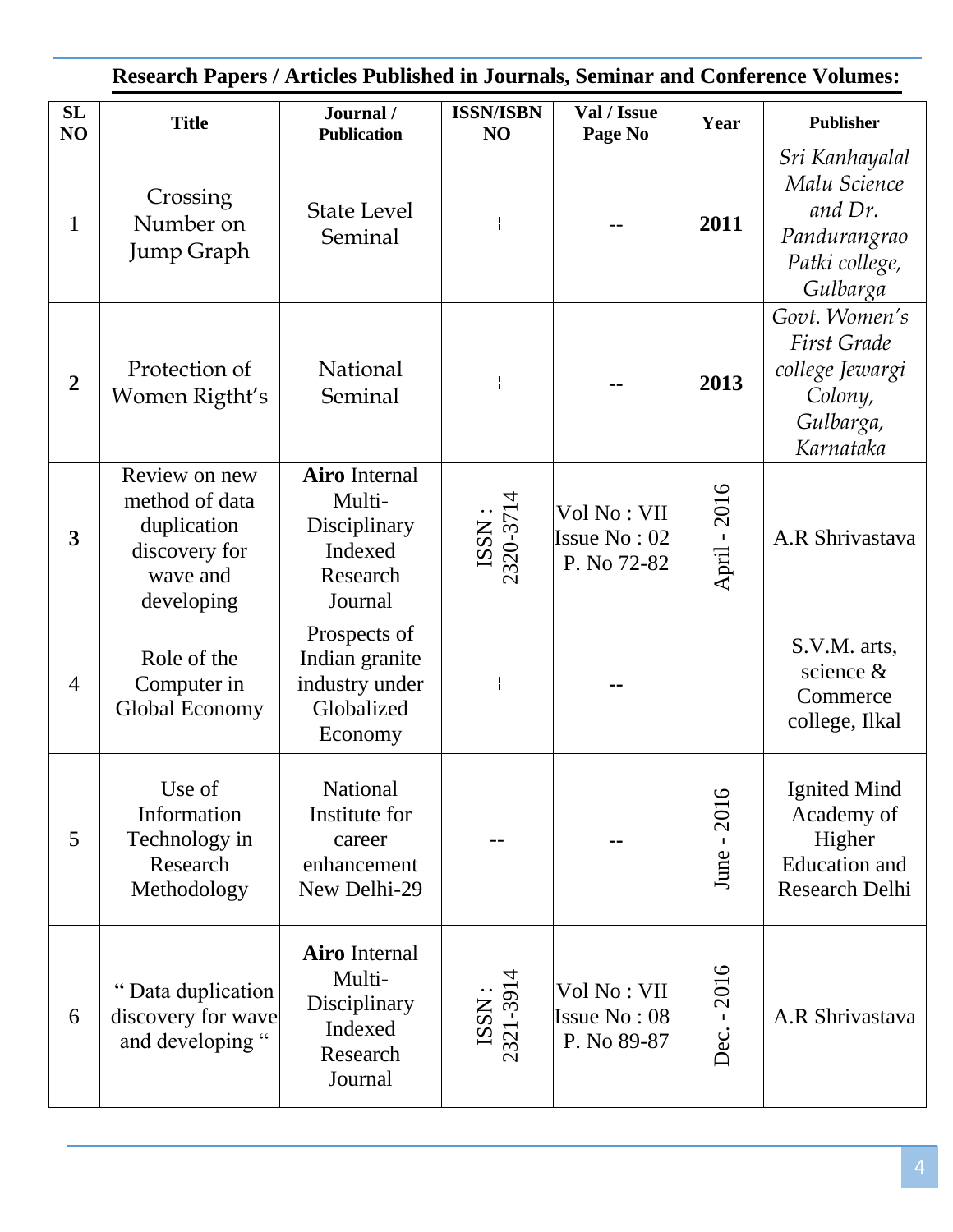| <b>Research Papers / Articles Published in Journals, Seminar and Conference Volumes:</b> |                                                                                           |                                                                                  |                        |                                            |              |                                                                                             |
|------------------------------------------------------------------------------------------|-------------------------------------------------------------------------------------------|----------------------------------------------------------------------------------|------------------------|--------------------------------------------|--------------|---------------------------------------------------------------------------------------------|
| SL<br>NO                                                                                 | <b>Title</b>                                                                              | Journal /<br><b>Publication</b>                                                  | <b>ISSN/ISBN</b><br>NO | Val / Issue<br>Page No                     | Year         | <b>Publisher</b>                                                                            |
| $\mathbf{1}$                                                                             | Crossing<br>Number on<br><b>Jump Graph</b>                                                | <b>State Level</b><br>Seminal                                                    | ł                      |                                            | 2011         | Sri Kanhayalal<br>Malu Science<br>and Dr.<br>Pandurangrao<br>Patki college,<br>Gulbarga     |
| $\overline{2}$                                                                           | Protection of<br>Women Rigtht's                                                           | National<br>Seminal                                                              | I                      |                                            | 2013         | Govt. Women's<br><b>First Grade</b><br>college Jewargi<br>Colony,<br>Gulbarga,<br>Karnataka |
| 3                                                                                        | Review on new<br>method of data<br>duplication<br>discovery for<br>wave and<br>developing | <b>Airo</b> Internal<br>Multi-<br>Disciplinary<br>Indexed<br>Research<br>Journal | ISSN:<br>2320-3714     | Vol No: VII<br>Issue No: 02<br>P. No 72-82 | April - 2016 | A.R Shrivastava                                                                             |
| $\overline{4}$                                                                           | Role of the<br>Computer in<br>Global Economy                                              | Prospects of<br>Indian granite<br>industry under<br>Globalized<br>Economy        |                        |                                            |              | S.V.M. arts,<br>science &<br>Commerce<br>college, Ilkal                                     |
| 5                                                                                        | Use of<br>Information<br>Technology in<br>Research<br>Methodology                         | <b>National</b><br>Institute for<br>career<br>enhancement<br>New Delhi-29        |                        |                                            | June - 2016  | Ignited Mind<br>Academy of<br>Higher<br><b>Education</b> and<br>Research Delhi              |
| 6                                                                                        | Data duplication<br>discovery for wave<br>and developing "                                | <b>Airo</b> Internal<br>Multi-<br>Disciplinary<br>Indexed<br>Research<br>Journal | ISSN:<br>2321-3914     | Vol No: VII<br>Issue No: 08<br>P. No 89-87 | Dec. - 2016  | A.R Shrivastava                                                                             |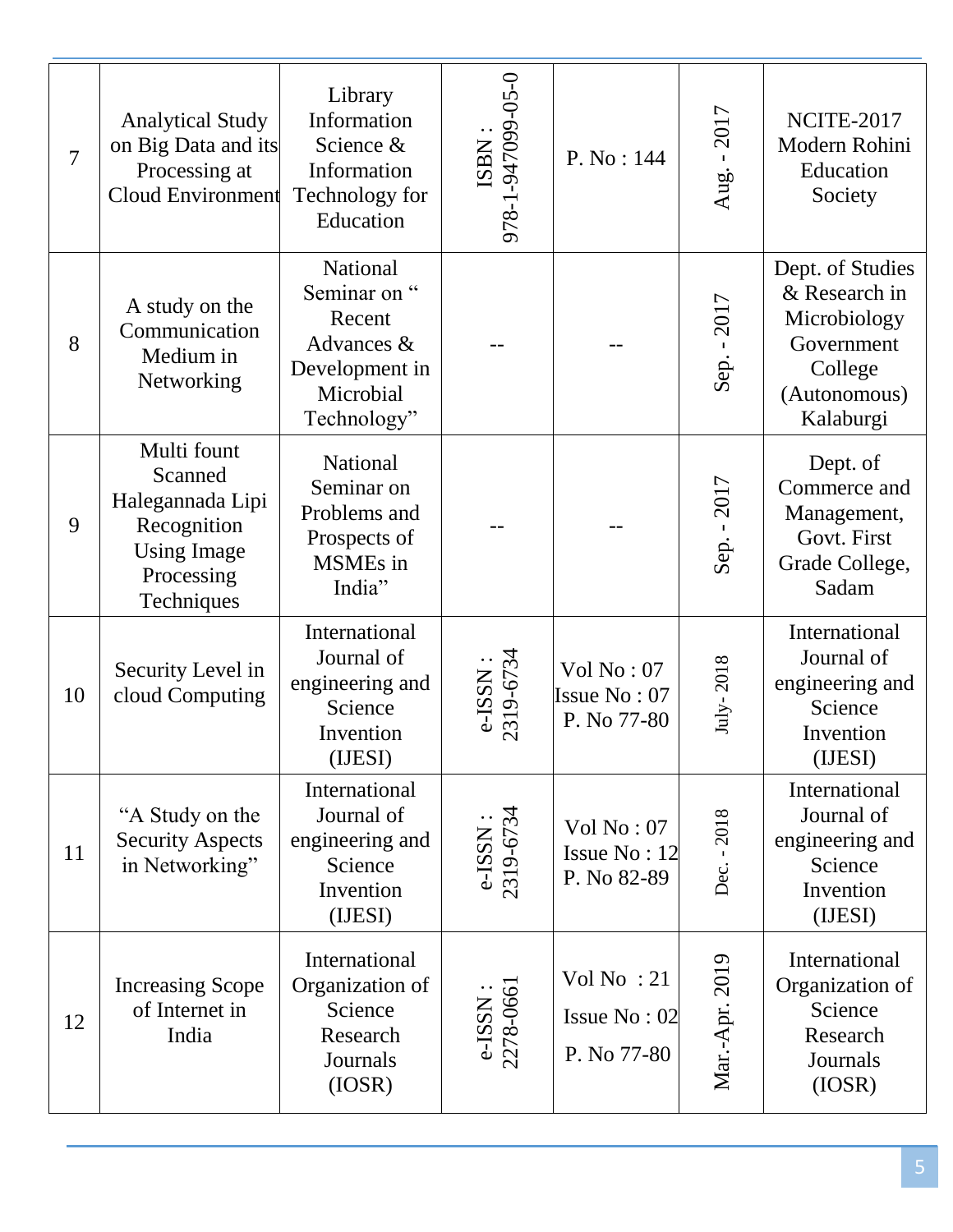| $\overline{7}$ | <b>Analytical Study</b><br>on Big Data and its<br>Processing at<br><b>Cloud Environment</b>                 | Library<br>Information<br>Science &<br>Information<br>Technology for<br>Education                     | ISBN :<br>978-1-947099-05-0 | P. No: 144                                  | Aug. - 2017    | NCITE-2017<br>Modern Rohini<br>Education<br>Society                                                     |
|----------------|-------------------------------------------------------------------------------------------------------------|-------------------------------------------------------------------------------------------------------|-----------------------------|---------------------------------------------|----------------|---------------------------------------------------------------------------------------------------------|
| 8              | A study on the<br>Communication<br>Medium in<br>Networking                                                  | <b>National</b><br>Seminar on "<br>Recent<br>Advances &<br>Development in<br>Microbial<br>Technology" |                             |                                             | Sep. - 2017    | Dept. of Studies<br>& Research in<br>Microbiology<br>Government<br>College<br>(Autonomous)<br>Kalaburgi |
| 9              | Multi fount<br>Scanned<br>Halegannada Lipi<br>Recognition<br><b>Using Image</b><br>Processing<br>Techniques | National<br>Seminar on<br>Problems and<br>Prospects of<br>MSMEs in<br>India"                          |                             |                                             | Sep. - 2017    | Dept. of<br>Commerce and<br>Management,<br>Govt. First<br>Grade College,<br>Sadam                       |
| 10             | Security Level in<br>cloud Computing                                                                        | International<br>Journal of<br>engineering and<br>Science<br>Invention<br>(IJESI)                     | e-ISSN :<br>2319-6734       | Vol No: 07<br>Issue No: 07<br>P. No 77-80   | July-2018      | International<br>Journal of<br>engineering and<br>Science<br>Invention<br>(IJESI)                       |
| 11             | "A Study on the<br><b>Security Aspects</b><br>in Networking"                                                | International<br>Journal of<br>engineering and<br>Science<br>Invention<br>(IJESI)                     | e-ISSN :<br>2319-6734       | Vol No: 07<br>Issue No: 12<br>P. No 82-89   | Dec. - 2018    | International<br>Journal of<br>engineering and<br>Science<br>Invention<br>(IJESI)                       |
| 12             | <b>Increasing Scope</b><br>of Internet in<br>India                                                          | International<br>Organization of<br>Science<br>Research<br>Journals<br>(IOSR)                         | e-ISSN :<br>$2278-0661$     | Vol No: $21$<br>Issue No: 02<br>P. No 77-80 | Mar.-Apr. 2019 | International<br>Organization of<br>Science<br>Research<br>Journals<br>(IOSR)                           |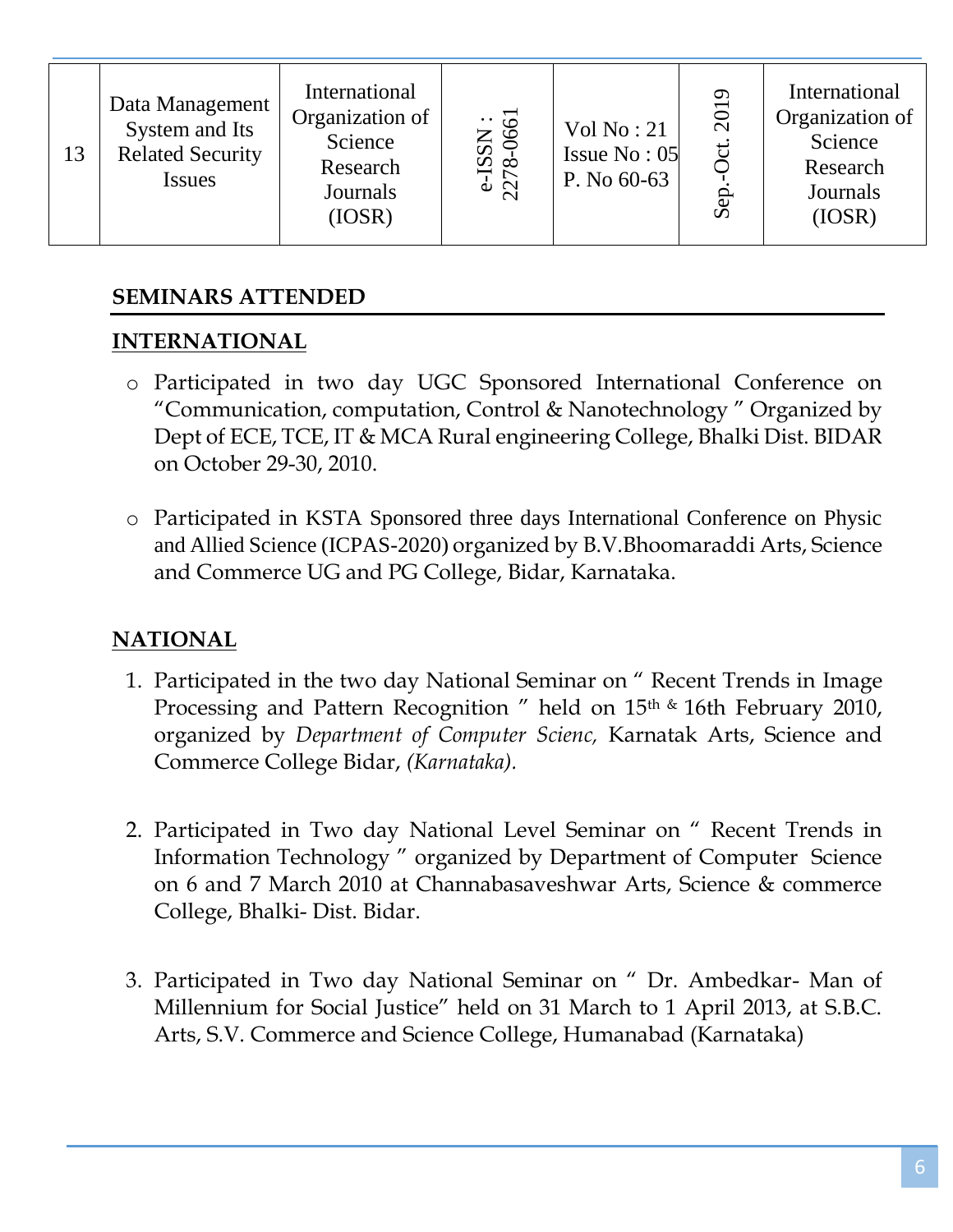| 13 | Data Management<br>System and Its<br><b>Related Security</b><br><b>Issues</b> | International<br>Organization of<br>Science<br>Research<br>Journals<br>(IOSR) | e-ISSN :<br>2278-0661 | Vol No: 21<br>Issue $No: 05$<br>P. No 60-63 | 2019<br>ಕ<br>Sep | International<br>Organization of<br>Science<br>Research<br>Journals<br>(IOSR) |
|----|-------------------------------------------------------------------------------|-------------------------------------------------------------------------------|-----------------------|---------------------------------------------|------------------|-------------------------------------------------------------------------------|
|----|-------------------------------------------------------------------------------|-------------------------------------------------------------------------------|-----------------------|---------------------------------------------|------------------|-------------------------------------------------------------------------------|

# **SEMINARS ATTENDED**

# **INTERNATIONAL**

- o Participated in two day UGC Sponsored International Conference on "Communication, computation, Control & Nanotechnology " Organized by Dept of ECE, TCE, IT & MCA Rural engineering College, Bhalki Dist. BIDAR on October 29-30, 2010.
- o Participated in KSTA Sponsored three days International Conference on Physic and Allied Science (ICPAS-2020) organized by B.V.Bhoomaraddi Arts, Science and Commerce UG and PG College, Bidar, Karnataka.

# **NATIONAL**

- 1. Participated in the two day National Seminar on " Recent Trends in Image Processing and Pattern Recognition " held on 15<sup>th &</sup> 16th February 2010, organized by *Department of Computer Scienc,* Karnatak Arts, Science and Commerce College Bidar, *(Karnataka).*
- 2. Participated in Two day National Level Seminar on " Recent Trends in Information Technology " organized by Department of Computer Science on 6 and 7 March 2010 at Channabasaveshwar Arts, Science & commerce College, Bhalki- Dist. Bidar.
- 3. Participated in Two day National Seminar on " Dr. Ambedkar- Man of Millennium for Social Justice" held on 31 March to 1 April 2013, at S.B.C. Arts, S.V. Commerce and Science College, Humanabad (Karnataka)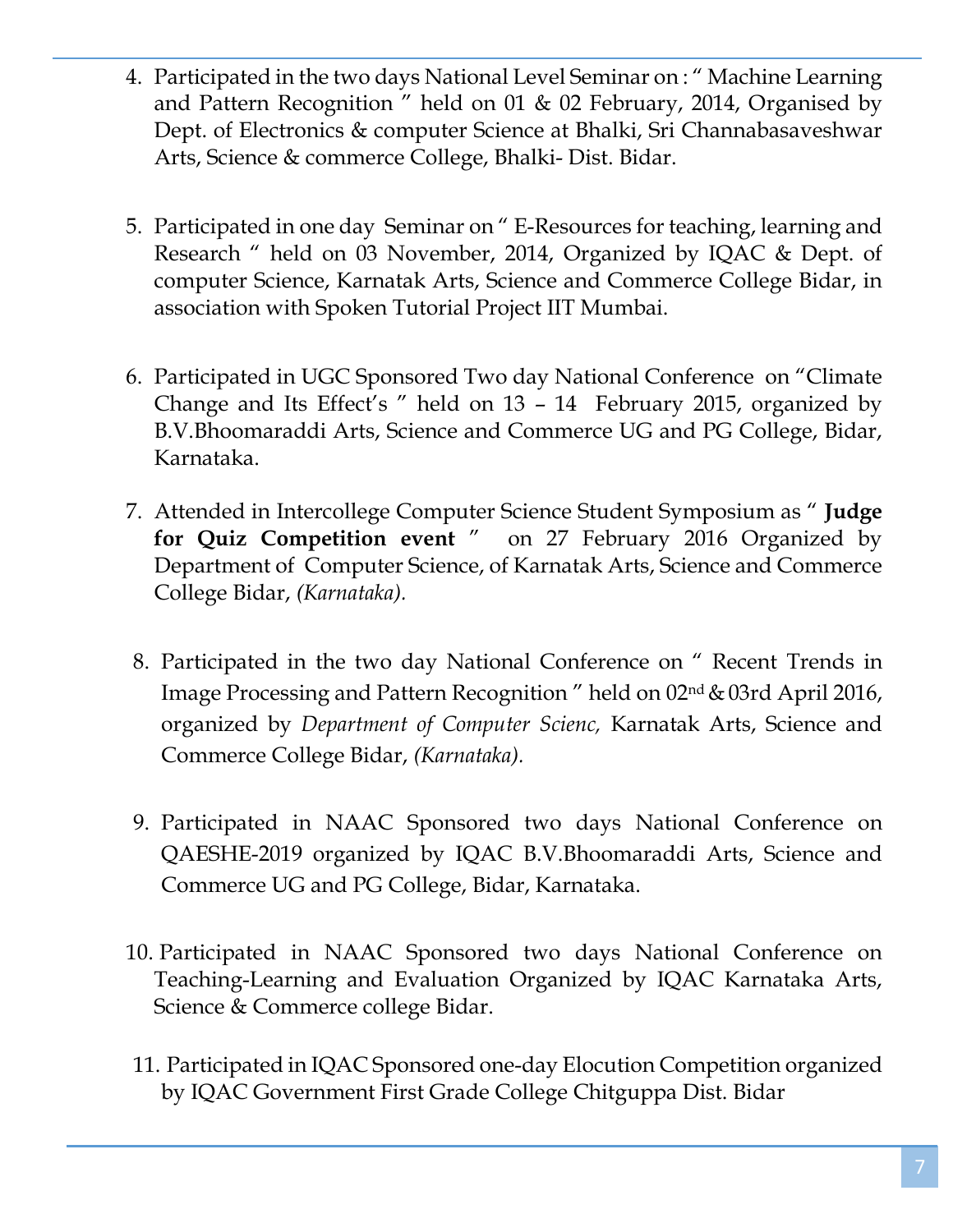- 4. Participated in the two days National Level Seminar on : " Machine Learning and Pattern Recognition " held on 01 & 02 February, 2014, Organised by Dept. of Electronics & computer Science at Bhalki, Sri Channabasaveshwar Arts, Science & commerce College, Bhalki- Dist. Bidar.
- 5. Participated in one day Seminar on " E-Resources for teaching, learning and Research " held on 03 November, 2014, Organized by IQAC & Dept. of computer Science, Karnatak Arts, Science and Commerce College Bidar, in association with Spoken Tutorial Project IIT Mumbai.
- 6. Participated in UGC Sponsored Two day National Conference on "Climate Change and Its Effect's " held on 13 – 14 February 2015, organized by B.V.Bhoomaraddi Arts, Science and Commerce UG and PG College, Bidar, Karnataka.
- 7. Attended in Intercollege Computer Science Student Symposium as " **Judge for Quiz Competition event** " on 27 February 2016 Organized by Department of Computer Science, of Karnatak Arts, Science and Commerce College Bidar, *(Karnataka).*
- 8. Participated in the two day National Conference on " Recent Trends in Image Processing and Pattern Recognition " held on 02nd &03rd April 2016, organized by *Department of Computer Scienc,* Karnatak Arts, Science and Commerce College Bidar, *(Karnataka).*
- 9. Participated in NAAC Sponsored two days National Conference on QAESHE-2019 organized by IQAC B.V.Bhoomaraddi Arts, Science and Commerce UG and PG College, Bidar, Karnataka.
- 10. Participated in NAAC Sponsored two days National Conference on Teaching-Learning and Evaluation Organized by IQAC Karnataka Arts, Science & Commerce college Bidar.
- 11. Participated in IQAC Sponsored one-day Elocution Competition organized by IQAC Government First Grade College Chitguppa Dist. Bidar